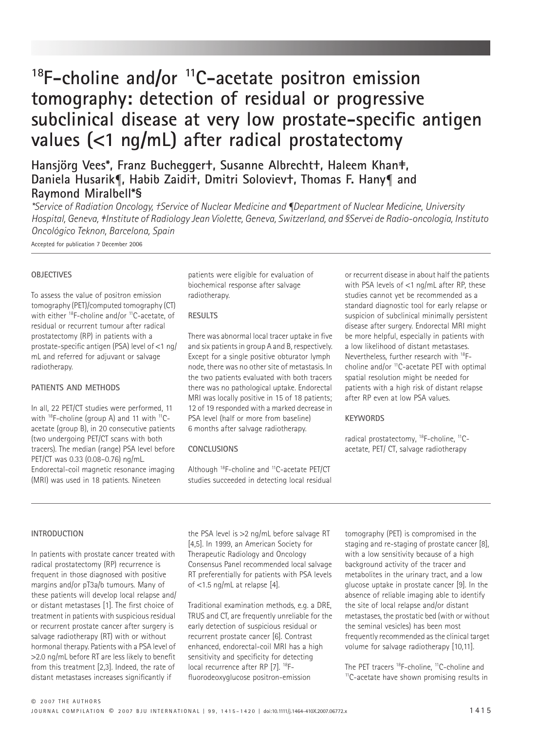# **18F-choline and/or 11C-acetate positron emission tomography: detection of residual or progressive subclinical disease at very low prostate-specific antigen values (**<**1 ng/mL) after radical prostatectomy**

**Hansjörg Vees\*, Franz Buchegger†, Susanne Albrecht†, Haleem Khan‡, Daniela Husarik¶, Habib Zaidi†, Dmitri Soloviev†, Thomas F. Hany¶ and Raymond Miralbell\*§**

*\*Service of Radiation Oncology, †Service of Nuclear Medicine and ¶Department of Nuclear Medicine, University Hospital, Geneva, ‡Institute of Radiology Jean Violette, Geneva, Switzerland, and §Servei de Radio-oncologia, Instituto Oncológico Teknon, Barcelona, Spain*

Accepted for publication 7 December 2006

#### **OBJECTIVES**

To assess the value of positron emission tomography (PET)/computed tomography (CT) with either <sup>18</sup>F-choline and/or <sup>11</sup>C-acetate, of residual or recurrent tumour after radical prostatectomy (RP) in patients with a prostate-specific antigen (PSA) level of <1 ng/ mL and referred for adjuvant or salvage radiotherapy.

## **PATIENTS AND METHODS**

In all, 22 PET/CT studies were performed, 11 with  $^{18}$ F-choline (group A) and 11 with  $^{11}$ Cacetate (group B), in 20 consecutive patients (two undergoing PET/CT scans with both tracers). The median (range) PSA level before PET/CT was 0.33 (0.08–0.76) ng/mL. Endorectal-coil magnetic resonance imaging (MRI) was used in 18 patients. Nineteen

patients were eligible for evaluation of biochemical response after salvage radiotherapy.

#### **RESULTS**

There was abnormal local tracer uptake in five and six patients in group A and B, respectively. Except for a single positive obturator lymph node, there was no other site of metastasis. In the two patients evaluated with both tracers there was no pathological uptake. Endorectal MRI was locally positive in 15 of 18 patients; 12 of 19 responded with a marked decrease in PSA level (half or more from baseline) 6 months after salvage radiotherapy.

#### **CONCLUSIONS**

Although 18F-choline and 11C-acetate PET/CT studies succeeded in detecting local residual or recurrent disease in about half the patients with PSA levels of <1 ng/mL after RP, these studies cannot yet be recommended as a standard diagnostic tool for early relapse or suspicion of subclinical minimally persistent disease after surgery. Endorectal MRI might be more helpful, especially in patients with a low likelihood of distant metastases. Nevertheless, further research with 18Fcholine and/or 11C-acetate PET with optimal spatial resolution might be needed for patients with a high risk of distant relapse after RP even at low PSA values.

#### **KEYWORDS**

radical prostatectomy, 18F-choline, 11Cacetate, PET/ CT, salvage radiotherapy

#### **INTRODUCTION**

In patients with prostate cancer treated with radical prostatectomy (RP) recurrence is frequent in those diagnosed with positive margins and/or pT3a/b tumours. Many of these patients will develop local relapse and/ or distant metastases [1]. The first choice of treatment in patients with suspicious residual or recurrent prostate cancer after surgery is salvage radiotherapy (RT) with or without hormonal therapy. Patients with a PSA level of >2.0 ng/mL before RT are less likely to benefit from this treatment [2,3]. Indeed, the rate of distant metastases increases significantly if

the PSA level is >2 ng/mL before salvage RT [4,5]. In 1999, an American Society for Therapeutic Radiology and Oncology Consensus Panel recommended local salvage RT preferentially for patients with PSA levels of <1.5 ng/mL at relapse [4].

Traditional examination methods, e.g. a DRE, TRUS and CT, are frequently unreliable for the early detection of suspicious residual or recurrent prostate cancer [6]. Contrast enhanced, endorectal-coil MRI has a high sensitivity and specificity for detecting local recurrence after RP [7]. 18Ffluorodeoxyglucose positron-emission

tomography (PET) is compromised in the staging and re-staging of prostate cancer [8], with a low sensitivity because of a high background activity of the tracer and metabolites in the urinary tract, and a low glucose uptake in prostate cancer [9]. In the absence of reliable imaging able to identify the site of local relapse and/or distant metastases, the prostatic bed (with or without the seminal vesicles) has been most frequently recommended as the clinical target volume for salvage radiotherapy [10,11].

The PET tracers <sup>18</sup>F-choline, <sup>11</sup>C-choline and <sup>11</sup>C-acetate have shown promising results in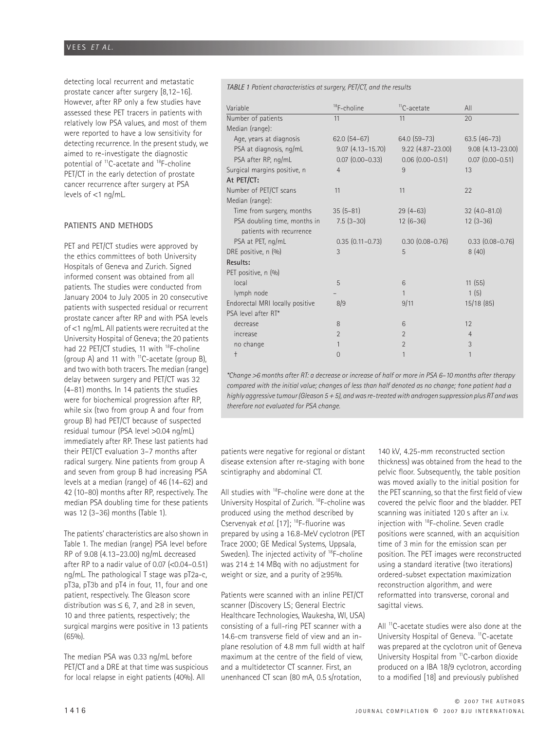# VEES *ET AL.*

detecting local recurrent and metastatic prostate cancer after surgery [8,12–16]. However, after RP only a few studies have assessed these PET tracers in patients with relatively low PSA values, and most of them were reported to have a low sensitivity for detecting recurrence. In the present study, we aimed to re-investigate the diagnostic potential of 11C-acetate and 18F-choline PET/CT in the early detection of prostate cancer recurrence after surgery at PSA levels of <1 ng/mL.

#### **PATIENTS AND METHODS**

PET and PET/CT studies were approved by the ethics committees of both University Hospitals of Geneva and Zurich. Signed informed consent was obtained from all patients. The studies were conducted from January 2004 to July 2005 in 20 consecutive patients with suspected residual or recurrent prostate cancer after RP and with PSA levels of <1 ng/mL. All patients were recruited at the University Hospital of Geneva; the 20 patients had 22 PET/CT studies, 11 with <sup>18</sup>F-choline (group A) and 11 with  $^{11}$ C-acetate (group B), and two with both tracers. The median (range) delay between surgery and PET/CT was 32 (4–81) months. In 14 patients the studies were for biochemical progression after RP, while six (two from group A and four from group B) had PET/CT because of suspected residual tumour (PSA level >0.04 ng/mL) immediately after RP. These last patients had their PET/CT evaluation 3–7 months after radical surgery. Nine patients from group A and seven from group B had increasing PSA levels at a median (range) of 46 (14–62) and 42 (10–80) months after RP, respectively. The median PSA doubling time for these patients was 12 (3–36) months (Table 1).

The patients' characteristics are also shown in Table 1. The median (range) PSA level before RP of 9.08 (4.13–23.00) ng/mL decreased after RP to a nadir value of 0.07 (<0.04–0.51) ng/mL. The pathological T stage was pT2a-c, pT3a, pT3b and pT4 in four, 11, four and one patient, respectively. The Gleason score distribution was  $\leq 6$ , 7, and  $\geq 8$  in seven, 10 and three patients, respectively; the surgical margins were positive in 13 patients (65%).

The median PSA was 0.33 ng/mL before PET/CT and a DRE at that time was suspicious for local relapse in eight patients (40%). All

*TABLE 1 Patient characteristics at surgery, PET/CT, and the results*

| Variable                        | <sup>18</sup> F-choline | <sup>11</sup> C-acetate | All                    |
|---------------------------------|-------------------------|-------------------------|------------------------|
| Number of patients              | 11                      | 11                      | 20                     |
| Median (range):                 |                         |                         |                        |
| Age, years at diagnosis         | $62.0$ $(54-67)$        | 64.0 (59-73)            | $63.5(46-73)$          |
| PSA at diagnosis, ng/mL         | $9.07(4.13 - 15.70)$    | $9.22$ $(4.87 - 23.00)$ | $9.08(4.13 - 23.00)$   |
| PSA after RP, ng/mL             | $0.07$ $(0.00 - 0.33)$  | $0.06$ $(0.00 - 0.51)$  | $0.07$ $(0.00 - 0.51)$ |
| Surgical margins positive, n    | $\overline{4}$          | 9                       | 13                     |
| At PET/CT:                      |                         |                         |                        |
| Number of PET/CT scans          | 11                      | 11                      | 22                     |
| Median (range):                 |                         |                         |                        |
| Time from surgery, months       | $35(5-81)$              | $29(4-63)$              | $32(4.0 - 81.0)$       |
| PSA doubling time, months in    | $7.5(3-30)$             | $12(6-36)$              | $12(3-36)$             |
| patients with recurrence        |                         |                         |                        |
| PSA at PET, ng/mL               | $0.35(0.11 - 0.73)$     | $0.30(0.08 - 0.76)$     | $0.33$ $(0.08 - 0.76)$ |
| DRE positive, n (%)             | 3                       | 5                       | 8(40)                  |
| Results:                        |                         |                         |                        |
| PET positive, n (%)             |                         |                         |                        |
| local                           | 5                       | 6                       | 11(55)                 |
| lymph node                      |                         | 1                       | 1(5)                   |
| Endorectal MRI locally positive | 8/9                     | 9/11                    | 15/18(85)              |
| PSA level after RT*             |                         |                         |                        |
| decrease                        | 8                       | 6                       | 12                     |
| increase                        | $\overline{2}$          | $\overline{2}$          | $\overline{4}$         |
| no change                       | $\mathbf{1}$            | $\overline{2}$          | 3                      |
| $\ddagger$                      | $\Omega$                | 1                       | 1                      |
|                                 |                         |                         |                        |

*\*Change* >*6 months after RT: a decrease or increase of half or more in PSA 6–10 months after therapy compared with the initial value; changes of less than half denoted as no change; †one patient had a highly aggressive tumour (Gleason 5* + *5), and was re-treated with androgen suppression plus RT and was therefore not evaluated for PSA change.*

patients were negative for regional or distant disease extension after re-staging with bone scintigraphy and abdominal CT.

All studies with <sup>18</sup>F-choline were done at the University Hospital of Zurich. 18F-choline was produced using the method described by Cservenyak *et al.* [17]; 18F-fluorine was prepared by using a 16.8-MeV cyclotron (PET Trace 2000; GE Medical Systems, Uppsala, Sweden). The injected activity of <sup>18</sup>F-choline was  $214 \pm 14$  MBq with no adjustment for weight or size, and a purity of ≥95%.

Patients were scanned with an inline PET/CT scanner (Discovery LS; General Electric Healthcare Technologies, Waukesha, WI, USA) consisting of a full-ring PET scanner with a 14.6-cm transverse field of view and an inplane resolution of 4.8 mm full width at half maximum at the centre of the field of view, and a multidetector CT scanner. First, an unenhanced CT scan (80 mA, 0.5 s/rotation,

140 kV, 4.25-mm reconstructed section thickness) was obtained from the head to the pelvic floor. Subsequently, the table position was moved axially to the initial position for the PET scanning, so that the first field of view covered the pelvic floor and the bladder. PET scanning was initiated 120 s after an i.v. injection with 18F-choline. Seven cradle positions were scanned, with an acquisition time of 3 min for the emission scan per position. The PET images were reconstructed using a standard iterative (two iterations) ordered-subset expectation maximization reconstruction algorithm, and were reformatted into transverse, coronal and sagittal views.

All <sup>11</sup>C-acetate studies were also done at the University Hospital of Geneva. 11C-acetate was prepared at the cyclotron unit of Geneva University Hospital from 11C-carbon dioxide produced on a IBA 18/9 cyclotron, according to a modified [18] and previously published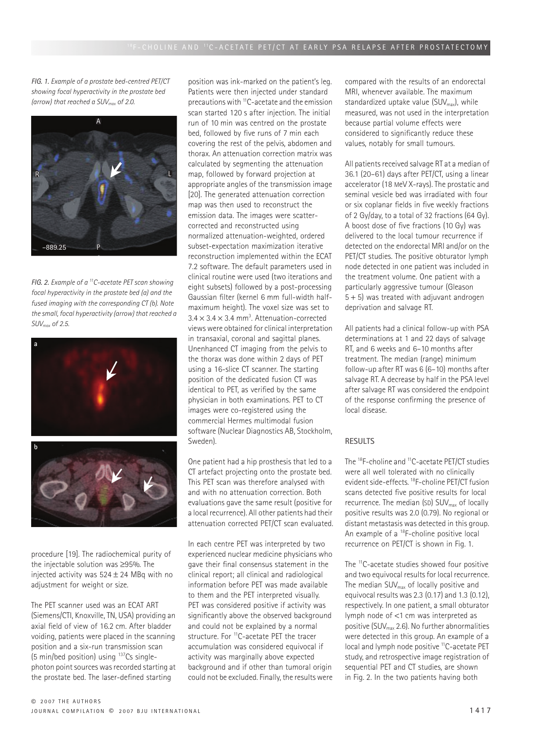*FIG. 1. Example of a prostate bed-centred PET/CT showing focal hyperactivity in the prostate bed (arrow) that reached a SUVmax of 2.0.*



*FIG. 2. Example of a 11C-acetate PET scan showing focal hyperactivity in the prostate bed (a) and the fused imaging with the corresponding CT (b). Note the small, focal hyperactivity (arrow) that reached a SUVmax of 2.5.*



procedure [19]. The radiochemical purity of the injectable solution was ≥95%. The injected activity was  $524 \pm 24$  MBq with no adjustment for weight or size.

The PET scanner used was an ECAT ART (Siemens/CTI, Knoxville, TN, USA) providing an axial field of view of 16.2 cm. After bladder voiding, patients were placed in the scanning position and a six-run transmission scan (5 min/bed position) using 137Cs singlephoton point sources was recorded starting at the prostate bed. The laser-defined starting

position was ink-marked on the patient's leg. Patients were then injected under standard precautions with 11C-acetate and the emission scan started 120 s after injection. The initial run of 10 min was centred on the prostate bed, followed by five runs of 7 min each covering the rest of the pelvis, abdomen and thorax. An attenuation correction matrix was calculated by segmenting the attenuation map, followed by forward projection at appropriate angles of the transmission image [20]. The generated attenuation correction map was then used to reconstruct the emission data. The images were scattercorrected and reconstructed using normalized attenuation-weighted, ordered subset-expectation maximization iterative reconstruction implemented within the ECAT 7.2 software. The default parameters used in clinical routine were used (two iterations and eight subsets) followed by a post-processing Gaussian filter (kernel 6 mm full-width halfmaximum height). The voxel size was set to  $3.4 \times 3.4 \times 3.4$  mm<sup>3</sup>. Attenuation-corrected views were obtained for clinical interpretation in transaxial, coronal and sagittal planes. Unenhanced CT imaging from the pelvis to the thorax was done within 2 days of PET using a 16-slice CT scanner. The starting position of the dedicated fusion CT was identical to PET, as verified by the same physician in both examinations. PET to CT images were co-registered using the commercial Hermes multimodal fusion software (Nuclear Diagnostics AB, Stockholm, Sweden).

One patient had a hip prosthesis that led to a CT artefact projecting onto the prostate bed. This PET scan was therefore analysed with and with no attenuation correction. Both evaluations gave the same result (positive for a local recurrence). All other patients had their attenuation corrected PET/CT scan evaluated.

In each centre PET was interpreted by two experienced nuclear medicine physicians who gave their final consensus statement in the clinical report; all clinical and radiological information before PET was made available to them and the PET interpreted visually. PET was considered positive if activity was significantly above the observed background and could not be explained by a normal structure. For <sup>11</sup>C-acetate PET the tracer accumulation was considered equivocal if activity was marginally above expected background and if other than tumoral origin could not be excluded. Finally, the results were compared with the results of an endorectal MRI, whenever available. The maximum standardized uptake value  $(SUV_{max})$ , while measured, was not used in the interpretation because partial volume effects were considered to significantly reduce these values, notably for small tumours.

All patients received salvage RT at a median of 36.1 (20–61) days after PET/CT, using a linear accelerator (18 MeV X-rays). The prostatic and seminal vesicle bed was irradiated with four or six coplanar fields in five weekly fractions of 2 Gy/day, to a total of 32 fractions (64 Gy). A boost dose of five fractions (10 Gy) was delivered to the local tumour recurrence if detected on the endorectal MRI and/or on the PET/CT studies. The positive obturator lymph node detected in one patient was included in the treatment volume. One patient with a particularly aggressive tumour (Gleason  $5 + 5$ ) was treated with adjuvant androgen deprivation and salvage RT.

All patients had a clinical follow-up with PSA determinations at 1 and 22 days of salvage RT, and 6 weeks and 6–10 months after treatment. The median (range) minimum follow-up after RT was 6 (6–10) months after salvage RT. A decrease by half in the PSA level after salvage RT was considered the endpoint of the response confirming the presence of local disease.

#### **RESULTS**

The 18F-choline and 11C-acetate PET/CT studies were all well tolerated with no clinically evident side-effects. 18F-choline PET/CT fusion scans detected five positive results for local recurrence. The median (SD)  $\textsf{SUV}_{\textsf{max}}$  of locally positive results was 2.0 (0.79). No regional or distant metastasis was detected in this group. An example of a <sup>18</sup>F-choline positive local recurrence on PET/CT is shown in Fig. 1.

The <sup>11</sup>C-acetate studies showed four positive and two equivocal results for local recurrence. The median SUV<sub>max</sub> of locally positive and equivocal results was 2.3 (0.17) and 1.3 (0.12), respectively. In one patient, a small obturator lymph node of <1 cm was interpreted as positive (SUVmax 2.6). No further abnormalities were detected in this group. An example of a local and lymph node positive <sup>11</sup>C-acetate PET study, and retrospective image registration of sequential PET and CT studies, are shown in Fig. 2. In the two patients having both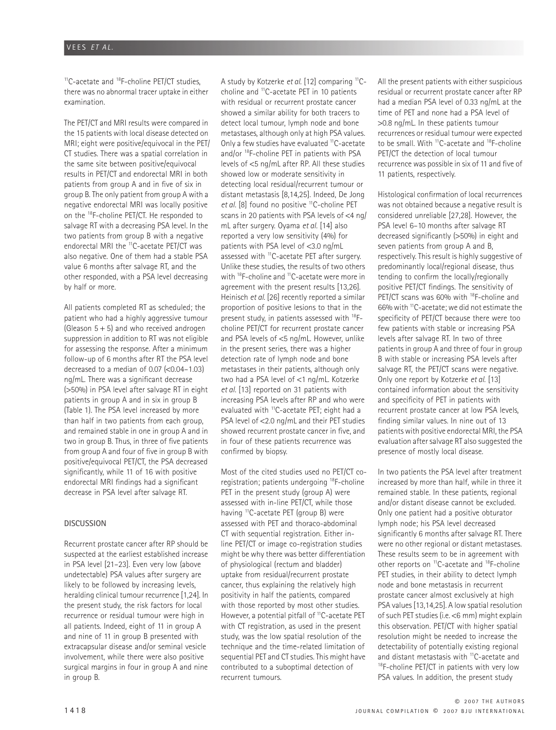<sup>11</sup>C-acetate and <sup>18</sup>F-choline PET/CT studies, there was no abnormal tracer uptake in either examination.

The PET/CT and MRI results were compared in the 15 patients with local disease detected on MRI; eight were positive/equivocal in the PET/ CT studies. There was a spatial correlation in the same site between positive/equivocal results in PET/CT and endorectal MRI in both patients from group A and in five of six in group B. The only patient from group A with a negative endorectal MRI was locally positive on the 18F-choline PET/CT. He responded to salvage RT with a decreasing PSA level. In the two patients from group B with a negative endorectal MRI the 11C-acetate PET/CT was also negative. One of them had a stable PSA value 6 months after salvage RT, and the other responded, with a PSA level decreasing by half or more.

All patients completed RT as scheduled; the patient who had a highly aggressive tumour (Gleason  $5 + 5$ ) and who received androgen suppression in addition to RT was not eligible for assessing the response. After a minimum follow-up of 6 months after RT the PSA level decreased to a median of  $0.07$  ( $0.04$ – $1.03$ ) ng/mL. There was a significant decrease (>50%) in PSA level after salvage RT in eight patients in group A and in six in group B (Table 1). The PSA level increased by more than half in two patients from each group, and remained stable in one in group A and in two in group B. Thus, in three of five patients from group A and four of five in group B with positive/equivocal PET/CT, the PSA decreased significantly, while 11 of 16 with positive endorectal MRI findings had a significant decrease in PSA level after salvage RT.

## **DISCUSSION**

Recurrent prostate cancer after RP should be suspected at the earliest established increase in PSA level [21–23]. Even very low (above undetectable) PSA values after surgery are likely to be followed by increasing levels, heralding clinical tumour recurrence [1,24]. In the present study, the risk factors for local recurrence or residual tumour were high in all patients. Indeed, eight of 11 in group A and nine of 11 in group B presented with extracapsular disease and/or seminal vesicle involvement, while there were also positive surgical margins in four in group A and nine in group B.

A study by Kotzerke *et al.* [12] comparing 11Ccholine and 11C-acetate PET in 10 patients with residual or recurrent prostate cancer showed a similar ability for both tracers to detect local tumour, lymph node and bone metastases, although only at high PSA values. Only a few studies have evaluated <sup>11</sup>C-acetate and/or 18F-choline PET in patients with PSA levels of <5 ng/mL after RP. All these studies showed low or moderate sensitivity in detecting local residual/recurrent tumour or distant metastasis [8,14,25]. Indeed, De Jong et al. [8] found no positive <sup>11</sup>C-choline PET scans in 20 patients with PSA levels of <4 ng/ mL after surgery. Oyama *et al.* [14] also reported a very low sensitivity (4%) for patients with PSA level of <3.0 ng/mL assessed with <sup>11</sup>C-acetate PET after surgery. Unlike these studies, the results of two others with 18F-choline and 11C-acetate were more in agreement with the present results [13,26]. Heinisch *et al.* [26] recently reported a similar proportion of positive lesions to that in the present study, in patients assessed with 18Fcholine PET/CT for recurrent prostate cancer and PSA levels of <5 ng/mL. However, unlike in the present series, there was a higher detection rate of lymph node and bone metastases in their patients, although only two had a PSA level of <1 ng/mL. Kotzerke *et al.* [13] reported on 31 patients with increasing PSA levels after RP and who were evaluated with 11C-acetate PET; eight had a PSA level of <2.0 ng/mL and their PET studies showed recurrent prostate cancer in five, and in four of these patients recurrence was confirmed by biopsy.

Most of the cited studies used no PET/CT coregistration; patients undergoing 18F-choline PET in the present study (group A) were assessed with in-line PET/CT, while those having 11C-acetate PET (group B) were assessed with PET and thoraco-abdominal CT with sequential registration. Either inline PET/CT or image co-registration studies might be why there was better differentiation of physiological (rectum and bladder) uptake from residual/recurrent prostate cancer, thus explaining the relatively high positivity in half the patients, compared with those reported by most other studies. However, a potential pitfall of 11C-acetate PET with CT registration, as used in the present study, was the low spatial resolution of the technique and the time-related limitation of sequential PET and CT studies. This might have contributed to a suboptimal detection of recurrent tumours.

All the present patients with either suspicious residual or recurrent prostate cancer after RP had a median PSA level of 0.33 ng/mL at the time of PET and none had a PSA level of >0.8 ng/mL. In these patients tumour recurrences or residual tumour were expected to be small. With <sup>11</sup>C-acetate and <sup>18</sup>F-choline PET/CT the detection of local tumour recurrence was possible in six of 11 and five of 11 patients, respectively.

Histological confirmation of local recurrences was not obtained because a negative result is considered unreliable [27,28]. However, the PSA level 6–10 months after salvage RT decreased significantly (>50%) in eight and seven patients from group A and B, respectively. This result is highly suggestive of predominantly local/regional disease, thus tending to confirm the locally/regionally positive PET/CT findings. The sensitivity of PET/CT scans was 60% with <sup>18</sup>F-choline and 66% with 11C-acetate; we did not estimate the specificity of PET/CT because there were too few patients with stable or increasing PSA levels after salvage RT. In two of three patients in group A and three of four in group B with stable or increasing PSA levels after salvage RT, the PET/CT scans were negative. Only one report by Kotzerke *et al.* [13] contained information about the sensitivity and specificity of PET in patients with recurrent prostate cancer at low PSA levels, finding similar values. In nine out of 13 patients with positive endorectal MRI, the PSA evaluation after salvage RT also suggested the presence of mostly local disease.

In two patients the PSA level after treatment increased by more than half, while in three it remained stable. In these patients, regional and/or distant disease cannot be excluded. Only one patient had a positive obturator lymph node; his PSA level decreased significantly 6 months after salvage RT. There were no other regional or distant metastases. These results seem to be in agreement with other reports on <sup>11</sup>C-acetate and <sup>18</sup>F-choline PET studies, in their ability to detect lymph node and bone metastasis in recurrent prostate cancer almost exclusively at high PSA values [13,14,25]. A low spatial resolution of such PET studies (i.e. <6 mm) might explain this observation. PET/CT with higher spatial resolution might be needed to increase the detectability of potentially existing regional and distant metastasis with  $^{11}$ C-acetate and  $^{18}$ F-choline PET/CT in patients with very low PSA values. In addition, the present study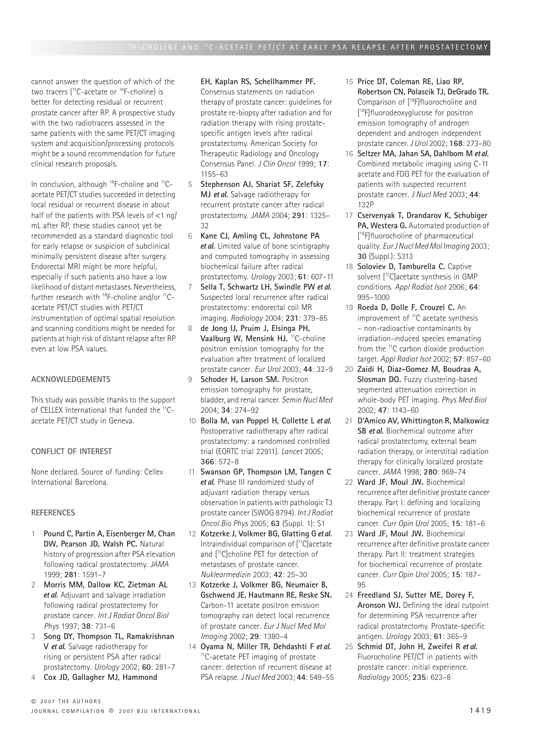cannot answer the question of which of the two tracers (<sup>11</sup>C-acetate or <sup>18</sup>F-choline) is better for detecting residual or recurrent prostate cancer after RP. A prospective study with the two radiotracers assessed in the same patients with the same PET/CT imaging system and acquisition/processing protocols might be a sound recommendation for future clinical research proposals.

In conclusion, although  $^{18}$ F-choline and  $^{11}$ Cacetate PET/CT studies succeeded in detecting local residual or recurrent disease in about half of the patients with PSA levels of <1 ng/ mL after RP, these studies cannot yet be recommended as a standard diagnostic tool for early relapse or suspicion of subclinical minimally persistent disease after surgery. Endorectal MRI might be more helpful, especially if such patients also have a low likelihood of distant metastases. Nevertheless, further research with <sup>18</sup>F-choline and/or <sup>11</sup>Cacetate PET/CT studies with PET/CT instrumentation of optimal spatial resolution and scanning conditions might be needed for patients at high risk of distant relapse after RP even at low PSA values.

## **ACKNOWLEDGEMENTS**

This study was possible thanks to the support of CELLEX International that funded the <sup>11</sup>Cacetate PET/CT study in Geneva.

# **CONFLICT OF INTEREST**

None declared. Source of funding: Cellex International Barcelona.

## **REFERENCES**

- 1 **Pound C, Partin A, Eisenberger M, Chan DW, Pearson JD, Walsh PC.** Natural history of progression after PSA elevation following radical prostatectomy. *JAMA* 1999; **281**: 1591–7
- 2 **Morris MM, Dallow KC, Zietman AL**  et al. Adjuvant and salvage irradiation following radical prostatectomy for prostate cancer. *Int J Radiat Oncol Biol Phys* 1997; **38**: 731–6
- 3 **Song DY, Thompson TL, Ramakrishnan V** et al. Salvage radiotherapy for rising or persistent PSA after radical prostatectomy. *Urology* 2002; **60**: 281–7
- 4 **Cox JD, Gallagher MJ, Hammond**

## **EH, Kaplan RS, Schellhammer PF.**

Consensus statements on radiation therapy of prostate cancer: guidelines for prostate re-biopsy after radiation and for radiation therapy with rising prostatespecific antigen levels after radical prostatectomy. American Society for Therapeutic Radiology and Oncology Consensus Panel. *J Clin Oncol* 1999; **17**: 1155–63

- 5 **Stephenson AJ, Shariat SF, Zelefsky MJ et al.** Salvage radiotherapy for recurrent prostate cancer after radical prostatectomy. *JAMA* 2004; **291**: 1325– 32
- 6 **Kane CJ, Amling CL, Johnstone PA**  et al. Limited value of bone scintigraphy and computed tomography in assessing biochemical failure after radical prostatectomy. *Urology* 2003; **61**: 607–11
- 7 **Sella T, Schwartz LH, Swindle PW** et al. Suspected local recurrence after radical prostatectomy: endorectal coil MR imaging. *Radiology* 2004; **231**: 379–85
- 8 **de Jong IJ, Pruim J, Elsinga PH,**  Vaalburg W, Mensink HJ. <sup>11</sup>C-choline positron emission tomography for the evaluation after treatment of localized prostate cancer. *Eur Urol* 2003; **44**: 32–9
- 9 **Schoder H, Larson SM.** Positron emission tomography for prostate, bladder, and renal cancer. *Semin Nucl Med* 2004; **34**: 274–92
- 10 **Bolla M, van Poppel H, Collette L** et al. Postoperative radiotherapy after radical prostatectomy: a randomised controlled trial (EORTC trial 22911). *Lancet* 2005; **366**: 572–8
- 11 **Swanson GP, Thompson LM, Tangen C**  et al. Phase III randomized study of adjuvant radiation therapy versus observation in patients with pathologic T3 prostate cancer (SWOG 8794). *Int J Radiat Oncol Bio Phys* 2005; **63** (Suppl. 1): S1
- 12 **Kotzerke J, Volkmer BG, Glatting G** et al. Intraindividual comparison of [11C]acetate and [11C]choline PET for detection of metastases of prostate cancer. *Nuklearmedizin* 2003; **42**: 25–30
- 13 **Kotzerke J, Volkmer BG, Neumaier B, Gschwend JE, Hautmann RE, Reske SN.**  Carbon-11 acetate positron emission tomography can detect local recurrence of prostate cancer. *Eur J Nucl Med Mol Imaging* 2002; **29**: 1380–4
- 14 **Oyama N, Miller TR, Dehdashti F** et al. <sup>11</sup>C-acetate PET imaging of prostate cancer: detection of recurrent disease at PSA relapse. *J Nucl Med* 2003; **44**: 549–55
- 15 **Price DT, Coleman RE, Liao RP, Robertson CN, Polascik TJ, DeGrado TR.**  Comparison of [18F]fluorocholine and [ 18F]fluorodeoxyglucose for positron emission tomography of androgen dependent and androgen independent prostate cancer. *J Urol* 2002; **168**: 273–80
- 16 **Seltzer MA, Jahan SA, Dahlbom M** et al. Combined metabolic imaging using C-11 acetate and FDG PET for the evaluation of patients with suspected recurrent prostate cancer. *J Nucl Med* 2003; **44**: 132P
- 17 **Cservenyak T, Drandarov K, Schubiger**  PA, Westera G. Automated production of [ 18F]fluorocholine of pharmaceutical quality. *Eur J Nucl Med Mol Imaging* 2003; **30** (Suppl.): S313
- 18 **Soloviev D, Tamburella C.** Captive solvent [<sup>11</sup>C]acetate synthesis in GMP conditions. *Appl Radiat Isot* 2006; **64**: 995–1000
- 19 **Roeda D, Dolle F, Crouzel C.** An improvement of <sup>11</sup>C acetate synthesis – non-radioactive contaminants by irradiation-induced species emanating from the <sup>11</sup>C carbon dioxide production target. *Appl Radiat Isot* 2002; **57**: 857–60
- 20 **Zaidi H, Diaz-Gomez M, Boudraa A, Slosman DO.** Fuzzy clustering-based segmented attenuation correction in whole-body PET imaging. *Phys Med Biol* 2002; **47**: 1143–60
- 21 **D'Amico AV, Whittington R, Malkowicz SB** et al. Biochemical outcome after radical prostatectomy, external beam radiation therapy, or interstitial radiation therapy for clinically localized prostate cancer. *JAMA* 1998; **280**: 969–74
- 22 **Ward JF, Moul JW.** Biochemical recurrence after definitive prostate cancer therapy. Part I: defining and localizing biochemical recurrence of prostate cancer. *Curr Opin Urol* 2005; **15**: 181–6
- 23 **Ward JF, Moul JW.** Biochemical recurrence after definitive prostate cancer therapy. Part II: treatment strategies for biochemical recurrence of prostate cancer. *Curr Opin Urol* 2005; **15**: 187– 95
- 24 **Freedland SJ, Sutter ME, Dorey F, Aronson WJ.** Defining the ideal cutpoint for determining PSA recurrence after radical prostatectomy. Prostate-specific antigen. *Urology* 2003; **61**: 365–9
- 25 **Schmid DT, John H, Zweifel R** et al. Fluorocholine PET/CT in patients with prostate cancer: initial experience. *Radiology* 2005; **235**: 623–8